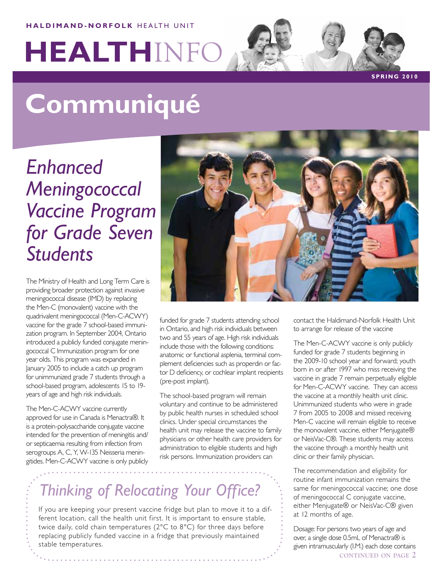#### **HALDIMAND-NORFOLK HEALTH UNIT**

# **HEALTH**INFO

**S PRIN G 2 0 1 0**

# **Communiqué**

*Enhanced Meningococcal Vaccine Program for Grade Seven Students*

The Ministry of Health and Long Term Care is providing broader protection against invasive meningococcal disease (IMD) by replacing the Men-C (monovalent) vaccine with the quadrivalent meningococcal (Men-C-ACWY) vaccine for the grade 7 school-based immunization program. In September 2004, Ontario introduced a publicly funded conjugate meningococcal C Immunization program for one year olds. This program was expanded in January 2005 to include a catch up program for unimmunized grade 7 students through a school-based program, adolescents 15 to 19 years of age and high risk individuals.

The Men-C-ACWY vaccine currently approved for use in Canada is Menactra®. It is a protein-polysaccharide conjugate vaccine intended for the prevention of meningitis and/ or septicaemia resulting from infection from serogroups A, C, Y, W-135 Neisseria meningitides. Men-C-ACWY vaccine is only publicly



funded for grade 7 students attending school in Ontario, and high risk individuals between two and 55 years of age. High risk individuals include those with the following conditions: anatomic or functional asplenia, terminal complement deficiencies such as properdin or factor D deficiency, or cochlear implant recipients (pre-post implant).

The school-based program will remain voluntary and continue to be administered by public health nurses in scheduled school clinics. Under special circumstances the health unit may release the vaccine to family physicians or other health care providers for administration to eligible students and high risk persons. Immunization providers can

contact the Haldimand-Norfolk Health Unit to arrange for release of the vaccine

The Men-C-ACWY vaccine is only publicly funded for grade 7 students beginning in the 2009-10 school year and forward; youth born in or after 1997 who miss receiving the vaccine in grade 7 remain perpetually eligible for Men-C-ACWY vaccine. They can access the vaccine at a monthly health unit clinic. Unimmunized students who were in grade 7 from 2005 to 2008 and missed receiving Men-C vaccine will remain eligible to receive the monovalent vaccine, either Menjugate® or NeisVac-C®. These students may access the vaccine through a monthly health unit clinic or their family physician.

The recommendation and eligibility for routine infant immunization remains the same for meningococcal vaccine; one dose of meningococcal C conjugate vaccine, either Menjugate® or NeisVac-C® given at 12 months of age.

Dosage: For persons two years of age and over, a single dose 0.5mL of Menactra® is given intramuscularly (I.M.) each dose contains **continued on page 2**

# *Thinking of Relocating Your Office?*

If you are keeping your present vaccine fridge but plan to move it to a different location, call the health unit first. It is important to ensure stable, twice daily, cold chain temperatures (2°C to 8°C) for three days before replacing publicly funded vaccine in a fridge that previously maintained stable temperatures.

. . . . . . . . . . . . . . . . . .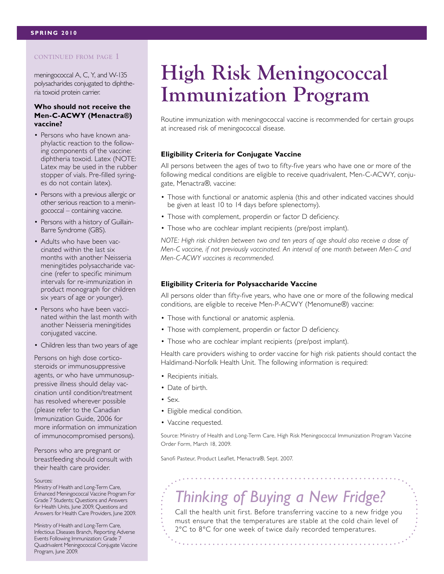#### **continued from page 1**

meningococcal A, C, Y, and W-135 polysacharides conjugated to diphtheria toxoid protein carrier.

#### **Who should not receive the Men-C-ACWY (Menactra®) vaccine?**

- Persons who have known anaphylactic reaction to the following components of the vaccine: diphtheria toxoid. Latex (NOTE: Latex may be used in the rubber stopper of vials. Pre-filled syringes do not contain latex).
- Persons with a previous allergic or other serious reaction to a meningococcal – containing vaccine.
- Persons with a history of Guillain-Barre Syndrome (GBS).
- Adults who have been vaccinated within the last six months with another Neisseria meningitides polysaccharide vaccine (refer to specific minimum intervals for re-immunization in product monograph for children six years of age or younger).
- Persons who have been vaccinated within the last month with another Neisseria meningitides conjugated vaccine.
- Children less than two years of age

Persons on high dose corticosteroids or immunosuppressive agents, or who have ummunosuppressive illness should delay vaccination until condition/treatment has resolved wherever possible (please refer to the Canadian Immunization Guide, 2006 for more information on immunization of immunocompromised persons).

Persons who are pregnant or breastfeeding should consult with their health care provider.

#### Sources:

Ministry of Health and Long-Term Care, Enhanced Meningococcal Vaccine Program For Grade 7 Students; Questions and Answers for Health Units, June 2009, Questions and Answers for Health Care Providers, June 2009.

Ministry of Health and Long-Term Care, Infectious Diseases Branch, Reporting Adverse Events Following Immunization: Grade 7 Quadrivalent Meningococcal Conjugate Vaccine Program, June 2009.

# **High Risk Meningococcal Immunization Program**

Routine immunization with meningococcal vaccine is recommended for certain groups at increased risk of meningococcal disease.

#### **Eligibility Criteria for Conjugate Vaccine**

All persons between the ages of two to fifty-five years who have one or more of the following medical conditions are eligible to receive quadrivalent, Men-C-ACWY, conjugate, Menactra®, vaccine:

- Those with functional or anatomic asplenia (this and other indicated vaccines should be given at least 10 to 14 days before splenectomy).
- Those with complement, properdin or factor D deficiency.
- Those who are cochlear implant recipients (pre/post implant).

*NOTE: High risk children between two and ten years of age should also receive a dose of Men-C vaccine, if not previously vaccinated. An interval of one month between Men-C and Men-C-ACWY vaccines is recommended.*

#### **Eligibility Criteria for Polysaccharide Vaccine**

All persons older than fifty-five years, who have one or more of the following medical conditions, are eligible to receive Men-P-ACWY (Menomune®) vaccine:

- Those with functional or anatomic asplenia.
- Those with complement, properdin or factor D deficiency.
- Those who are cochlear implant recipients (pre/post implant).

Health care providers wishing to order vaccine for high risk patients should contact the Haldimand-Norfolk Health Unit. The following information is required:

- Recipients initials.
- Date of birth.
- Sex.
- Eligible medical condition.
- Vaccine requested.

Source: Ministry of Health and Long-Term Care, High Risk Meningococcal Immunization Program Vaccine Order Form, March 18, 2009.

Sanofi Pasteur, Product Leaflet, Menactra®, Sept. 2007.

## *Thinking of Buying a New Fridge?*

Call the health unit first. Before transferring vaccine to a new fridge you must ensure that the temperatures are stable at the cold chain level of 2°C to 8°C for one week of twice daily recorded temperatures.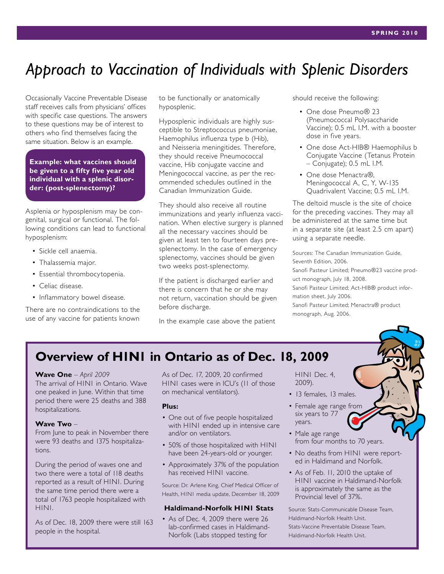### *Approach to Vaccination of Individuals with Splenic Disorders*

Occasionally Vaccine Preventable Disease staff receives calls from physicians' offices with specific case questions. The answers to these questions may be of interest to others who find themselves facing the same situation. Below is an example.

**Example: what vaccines should be given to a fifty five year old individual with a splenic disorder: (post-splenectomy)?**

Asplenia or hyposplenism may be congenital, surgical or functional. The following conditions can lead to functional hyposplenism:

- Sickle cell anaemia.
- Thalassemia major.
- Essential thrombocytopenia.
- Celiac disease.
- Inflammatory bowel disease.

There are no contraindications to the use of any vaccine for patients known

to be functionally or anatomically hyposplenic.

Hyposplenic individuals are highly susceptible to Streptococcus pneumoniae, Haemophilus influenza type b (Hib), and Neisseria meningitides. Therefore, they should receive Pneumococcal vaccine, Hib conjugate vaccine and Meningococcal vaccine, as per the recommended schedules outlined in the Canadian Immunization Guide.

They should also receive all routine immunizations and yearly influenza vaccination. When elective surgery is planned all the necessary vaccines should be given at least ten to fourteen days presplenectomy. In the case of emergency splenectomy, vaccines should be given two weeks post-splenectomy.

If the patient is discharged earlier and there is concern that he or she may not return, vaccination should be given before discharge.

In the example case above the patient

should receive the following:

- One dose Pneumo® 23 (Pneumococcal Polysaccharide Vaccine); 0.5 mL I.M. with a booster dose in five years.
- One dose Act-HIB® Haemophilus b Conjugate Vaccine (Tetanus Protein – Conjugate); 0.5 mL I.M.
- One dose Menactra®, Meningococcal A, C, Y, W-135 Quadrivalent Vaccine; 0.5 mL I.M.

The deltoid muscle is the site of choice for the preceding vaccines. They may all be administered at the same time but in a separate site (at least 2.5 cm apart) using a separate needle.

Sources: The Canadian Immunization Guide, Seventh Edition, 2006. Sanofi Pasteur Limited; Pneumo®23 vaccine product monograph, July 18, 2008. Sanofi Pasteur Limited; Act-HIB® product information sheet, July 2006. Sanofi Pasteur Limited; Menactra® product monograph, Aug. 2006.

### **Overview of H1N1 in Ontario as of Dec. 18, 2009**

#### **Wave One** – *April 2009*

The arrival of H1N1 in Ontario. Wave one peaked in June. Within that time period there were 25 deaths and 388 hospitalizations.

#### **Wave Two** –

From June to peak in November there were 93 deaths and 1375 hospitalizations.

During the period of waves one and two there were a total of 118 deaths reported as a result of H1N1. During the same time period there were a total of 1763 people hospitalized with H1N1.

As of Dec. 18, 2009 there were still 163 people in the hospital.

As of Dec. 17, 2009, 20 confirmed H1N1 cases were in ICU's (11 of those on mechanical ventilators).

#### **Plus:**

- One out of five people hospitalized with H1N1 ended up in intensive care and/or on ventilators.
- 50% of those hospitalized with H1N1 have been 24-years-old or younger.
- Approximately 37% of the population has received H1N1 vaccine.

Source: Dr. Arlene King, Chief Medical Officer of Health, H1N1 media update, December 18, 2009

#### **Haldimand-Norfolk H1N1 Stats**

• As of Dec. 4, 2009 there were 26 lab-confirmed cases in Haldimand-Norfolk (Labs stopped testing for

H1N1 Dec. 4, 2009).

- 13 females, 13 males.
- Female age range from six years to 77 years.
- Male age range from four months to 70 years.
- No deaths from H1N1 were reported in Haldimand and Norfolk.
- As of Feb. 11, 2010 the uptake of H1N1 vaccine in Haldimand-Norfolk is approximately the same as the Provincial level of 37%.

Source: Stats-Communicable Disease Team, Haldimand-Norfolk Health Unit. Stats-Vaccine Preventable Disease Team, Haldimand-Norfolk Health Unit.